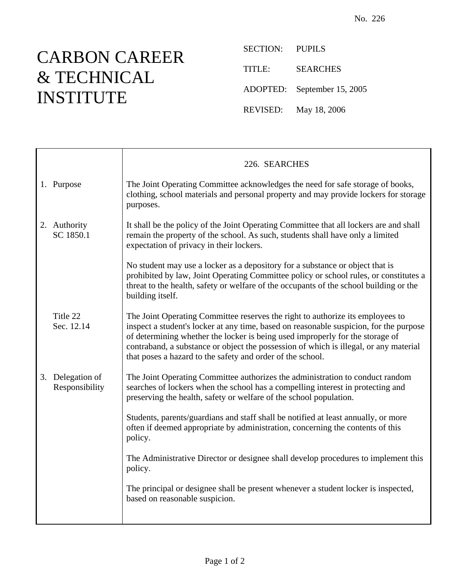## CARBON CAREER & TECHNICAL INSTITUTE

È

SECTION: PUPILS TITLE: SEARCHES ADOPTED: September 15, 2005 REVISED: May 18, 2006

|                                    | 226. SEARCHES                                                                                                                                                                                                                                                                                                                                                                                                    |
|------------------------------------|------------------------------------------------------------------------------------------------------------------------------------------------------------------------------------------------------------------------------------------------------------------------------------------------------------------------------------------------------------------------------------------------------------------|
| 1. Purpose                         | The Joint Operating Committee acknowledges the need for safe storage of books,<br>clothing, school materials and personal property and may provide lockers for storage<br>purposes.                                                                                                                                                                                                                              |
| 2. Authority<br>SC 1850.1          | It shall be the policy of the Joint Operating Committee that all lockers are and shall<br>remain the property of the school. As such, students shall have only a limited<br>expectation of privacy in their lockers.                                                                                                                                                                                             |
|                                    | No student may use a locker as a depository for a substance or object that is<br>prohibited by law, Joint Operating Committee policy or school rules, or constitutes a<br>threat to the health, safety or welfare of the occupants of the school building or the<br>building itself.                                                                                                                             |
| Title 22<br>Sec. 12.14             | The Joint Operating Committee reserves the right to authorize its employees to<br>inspect a student's locker at any time, based on reasonable suspicion, for the purpose<br>of determining whether the locker is being used improperly for the storage of<br>contraband, a substance or object the possession of which is illegal, or any material<br>that poses a hazard to the safety and order of the school. |
| 3. Delegation of<br>Responsibility | The Joint Operating Committee authorizes the administration to conduct random<br>searches of lockers when the school has a compelling interest in protecting and<br>preserving the health, safety or welfare of the school population.                                                                                                                                                                           |
|                                    | Students, parents/guardians and staff shall be notified at least annually, or more<br>often if deemed appropriate by administration, concerning the contents of this<br>policy.                                                                                                                                                                                                                                  |
|                                    | The Administrative Director or designee shall develop procedures to implement this<br>policy.                                                                                                                                                                                                                                                                                                                    |
|                                    | The principal or designee shall be present whenever a student locker is inspected,<br>based on reasonable suspicion.                                                                                                                                                                                                                                                                                             |
|                                    |                                                                                                                                                                                                                                                                                                                                                                                                                  |